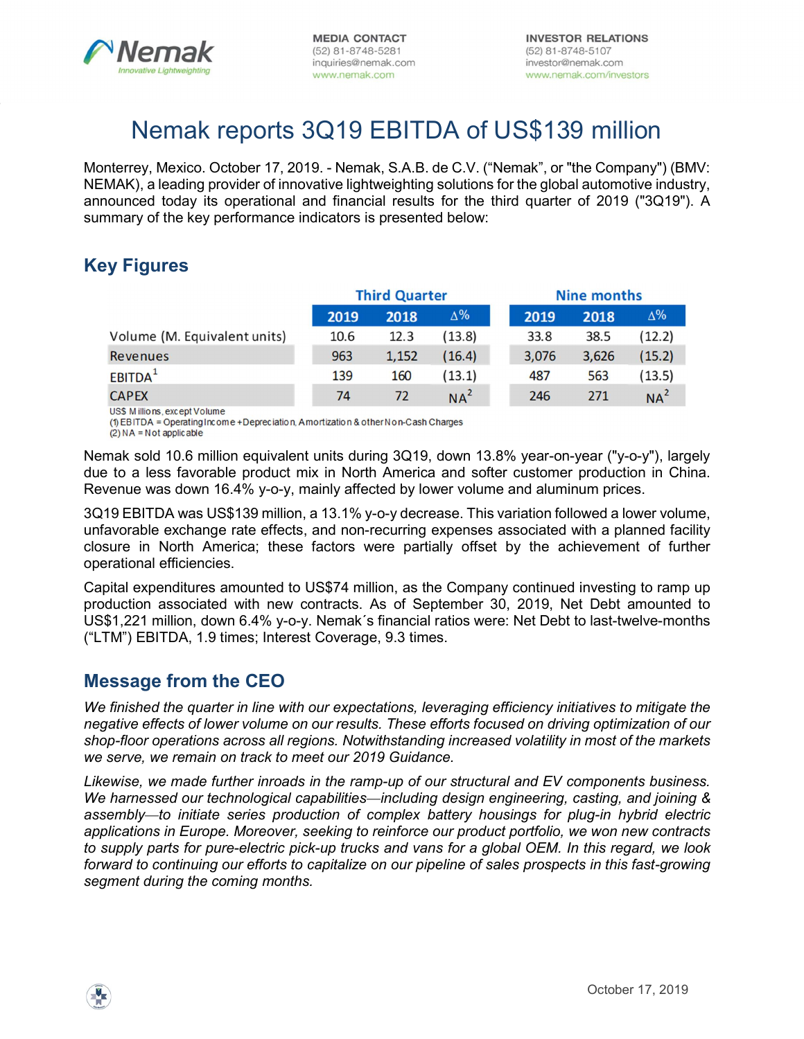

# Nemak reports 3Q19 EBITDA of US\$139 million

Monterrey, Mexico. October 17, 2019. - Nemak, S.A.B. de C.V. ("Nemak", or "the Company") (BMV: NEMAK), a leading provider of innovative lightweighting solutions for the global automotive industry, announced today its operational and financial results for the third quarter of 2019 ("3Q19"). A summary of the key performance indicators is presented below:

# Key Figures

|                              |      | <b>Third Quarter</b> |            |       | <b>Nine months</b> |                 |
|------------------------------|------|----------------------|------------|-------|--------------------|-----------------|
|                              | 2019 | 2018                 | $\Delta\%$ | 2019  | 2018               | $\Delta\%$      |
| Volume (M. Equivalent units) | 10.6 | 12.3                 | (13.8)     | 33.8  | 38.5               | (12.2)          |
| <b>Revenues</b>              | 963  | 1,152                | (16.4)     | 3,076 | 3,626              | (15.2)          |
| EBITDA <sup>1</sup>          | 139  | 160                  | (13.1)     | 487   | 563                | (13.5)          |
| <b>CAPEX</b>                 | 74   | 72                   | $NA^2$     | 246   | 271                | NA <sup>2</sup> |

US\$ M illions, except Volume

(1) EBITDA = Operating Income + Depreciation, Amortization & other Non-Cash Charges

 $(2) NA = Not$  applicable

Nemak sold 10.6 million equivalent units during 3Q19, down 13.8% year-on-year ("y-o-y"), largely due to a less favorable product mix in North America and softer customer production in China. Revenue was down 16.4% y-o-y, mainly affected by lower volume and aluminum prices.

3Q19 EBITDA was US\$139 million, a 13.1% y-o-y decrease. This variation followed a lower volume, unfavorable exchange rate effects, and non-recurring expenses associated with a planned facility closure in North America; these factors were partially offset by the achievement of further operational efficiencies.

Capital expenditures amounted to US\$74 million, as the Company continued investing to ramp up production associated with new contracts. As of September 30, 2019, Net Debt amounted to US\$1,221 million, down 6.4% y-o-y. Nemak´s financial ratios were: Net Debt to last-twelve-months ("LTM") EBITDA, 1.9 times; Interest Coverage, 9.3 times.

### Message from the CEO

We finished the quarter in line with our expectations, leveraging efficiency initiatives to mitigate the negative effects of lower volume on our results. These efforts focused on driving optimization of our shop-floor operations across all regions. Notwithstanding increased volatility in most of the markets we serve, we remain on track to meet our 2019 Guidance.

Likewise, we made further inroads in the ramp-up of our structural and EV components business. We harnessed our technological capabilities—including design engineering, casting, and joining & assembly—to initiate series production of complex battery housings for plug-in hybrid electric applications in Europe. Moreover, seeking to reinforce our product portfolio, we won new contracts to supply parts for pure-electric pick-up trucks and vans for a global OEM. In this regard, we look forward to continuing our efforts to capitalize on our pipeline of sales prospects in this fast-growing segment during the coming months.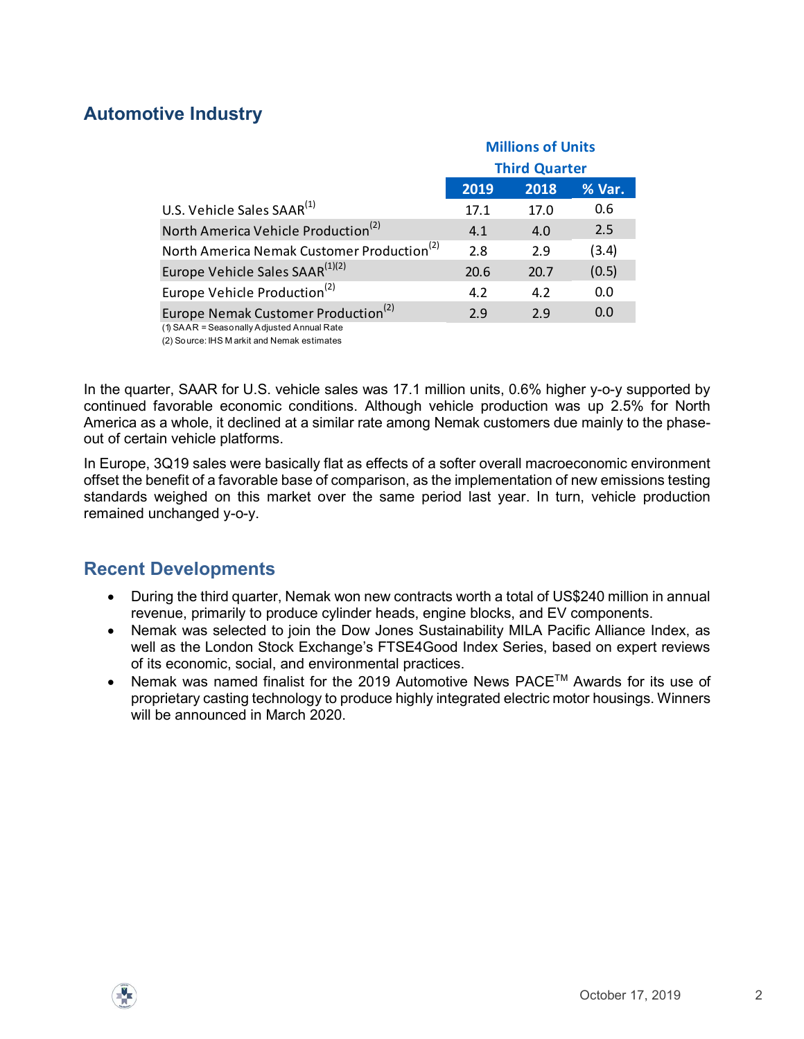# Automotive Industry

|      |                            | % Var.                                                                                 |
|------|----------------------------|----------------------------------------------------------------------------------------|
|      |                            | 0.6<br>2.5                                                                             |
|      |                            | (3.4)                                                                                  |
| 20.6 | 20.7                       | (0.5)                                                                                  |
| 4.2  | 4.2                        | 0.0                                                                                    |
| 2.9  | 2.9                        | 0.0                                                                                    |
|      |                            |                                                                                        |
|      |                            |                                                                                        |
|      |                            | er, SAAR for U.S. vehicle sales was 17.1 million units, 0.6% higher y-o-y supported by |
|      | 2019<br>17.1<br>4.1<br>2.8 | <b>Millions of Units</b><br><b>Third Quarter</b><br>2018<br>17.0<br>4.0<br>2.9         |

In the quarter, SAAR for U.S. vehicle sales was 17.1 million units, 0.6% higher y-o-y supported by continued favorable economic conditions. Although vehicle production was up 2.5% for North America as a whole, it declined at a similar rate among Nemak customers due mainly to the phaseout of certain vehicle platforms.

In Europe, 3Q19 sales were basically flat as effects of a softer overall macroeconomic environment offset the benefit of a favorable base of comparison, as the implementation of new emissions testing standards weighed on this market over the same period last year. In turn, vehicle production remained unchanged y-o-y.

# Recent Developments

- During the third quarter, Nemak won new contracts worth a total of US\$240 million in annual revenue, primarily to produce cylinder heads, engine blocks, and EV components.
- Nemak was selected to join the Dow Jones Sustainability MILA Pacific Alliance Index, as well as the London Stock Exchange's FTSE4Good Index Series, based on expert reviews of its economic, social, and environmental practices.
- Nemak was named finalist for the 2019 Automotive News PACE<sup>™</sup> Awards for its use of proprietary casting technology to produce highly integrated electric motor housings. Winners will be announced in March 2020.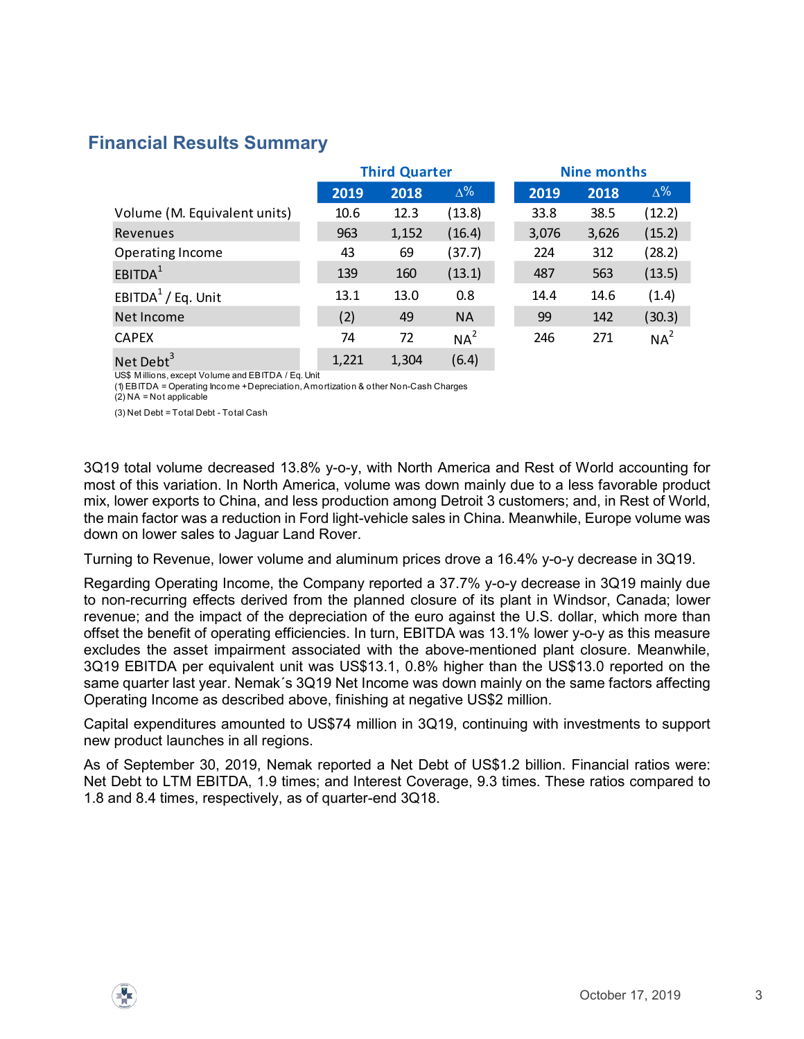### Financial Results Summary

| nancial Results Summary                                                                                                                                            |                      |       |                 |       |                    |                 |  |  |  |
|--------------------------------------------------------------------------------------------------------------------------------------------------------------------|----------------------|-------|-----------------|-------|--------------------|-----------------|--|--|--|
|                                                                                                                                                                    | <b>Third Quarter</b> |       |                 |       | <b>Nine months</b> |                 |  |  |  |
|                                                                                                                                                                    | 2019                 | 2018  | $\Delta\%$      | 2019  | 2018               | $\Delta\%$      |  |  |  |
| Volume (M. Equivalent units)                                                                                                                                       | 10.6                 | 12.3  | (13.8)          | 33.8  | 38.5               | (12.2)          |  |  |  |
| Revenues                                                                                                                                                           | 963                  | 1,152 | (16.4)          | 3,076 | 3,626              | (15.2)          |  |  |  |
| Operating Income                                                                                                                                                   | 43                   | 69    | (37.7)          | 224   | 312                | (28.2)          |  |  |  |
| EBITDA <sup>1</sup>                                                                                                                                                | 139                  | 160   | (13.1)          | 487   | 563                | (13.5)          |  |  |  |
|                                                                                                                                                                    |                      |       | 0.8             | 14.4  | 14.6               | (1.4)           |  |  |  |
| EBITDA $1$ / Eq. Unit                                                                                                                                              | 13.1                 | 13.0  |                 |       | 142                | (30.3)          |  |  |  |
| Net Income                                                                                                                                                         | (2)                  | 49    | <b>NA</b>       | 99    |                    |                 |  |  |  |
| <b>CAPEX</b>                                                                                                                                                       | 74                   | 72    | NA <sup>2</sup> | 246   | 271                | NA <sup>2</sup> |  |  |  |
|                                                                                                                                                                    | 1,221                | 1,304 | (6.4)           |       |                    |                 |  |  |  |
| Net Debt <sup>3</sup><br>US\$ Millions, except Volume and EBITDA / Eq. Unit<br>(1) EBITDA = Operating Income + Depreciation, Amortization & other Non-Cash Charges |                      |       |                 |       |                    |                 |  |  |  |
| $(2)$ NA = Not applicable<br>(3) Net Debt = Total Debt - Total Cash                                                                                                |                      |       |                 |       |                    |                 |  |  |  |
|                                                                                                                                                                    |                      |       |                 |       |                    |                 |  |  |  |

3Q19 total volume decreased 13.8% y-o-y, with North America and Rest of World accounting for most of this variation. In North America, volume was down mainly due to a less favorable product mix, lower exports to China, and less production among Detroit 3 customers; and, in Rest of World, the main factor was a reduction in Ford light-vehicle sales in China. Meanwhile, Europe volume was down on lower sales to Jaguar Land Rover.

Turning to Revenue, lower volume and aluminum prices drove a 16.4% y-o-y decrease in 3Q19.

Regarding Operating Income, the Company reported a 37.7% y-o-y decrease in 3Q19 mainly due to non-recurring effects derived from the planned closure of its plant in Windsor, Canada; lower revenue; and the impact of the depreciation of the euro against the U.S. dollar, which more than offset the benefit of operating efficiencies. In turn, EBITDA was 13.1% lower y-o-y as this measure excludes the asset impairment associated with the above-mentioned plant closure. Meanwhile, 3Q19 EBITDA per equivalent unit was US\$13.1, 0.8% higher than the US\$13.0 reported on the same quarter last year. Nemak´s 3Q19 Net Income was down mainly on the same factors affecting Operating Income as described above, finishing at negative US\$2 million.

Capital expenditures amounted to US\$74 million in 3Q19, continuing with investments to support new product launches in all regions.

As of September 30, 2019, Nemak reported a Net Debt of US\$1.2 billion. Financial ratios were: Net Debt to LTM EBITDA, 1.9 times; and Interest Coverage, 9.3 times. These ratios compared to 1.8 and 8.4 times, respectively, as of quarter-end 3Q18.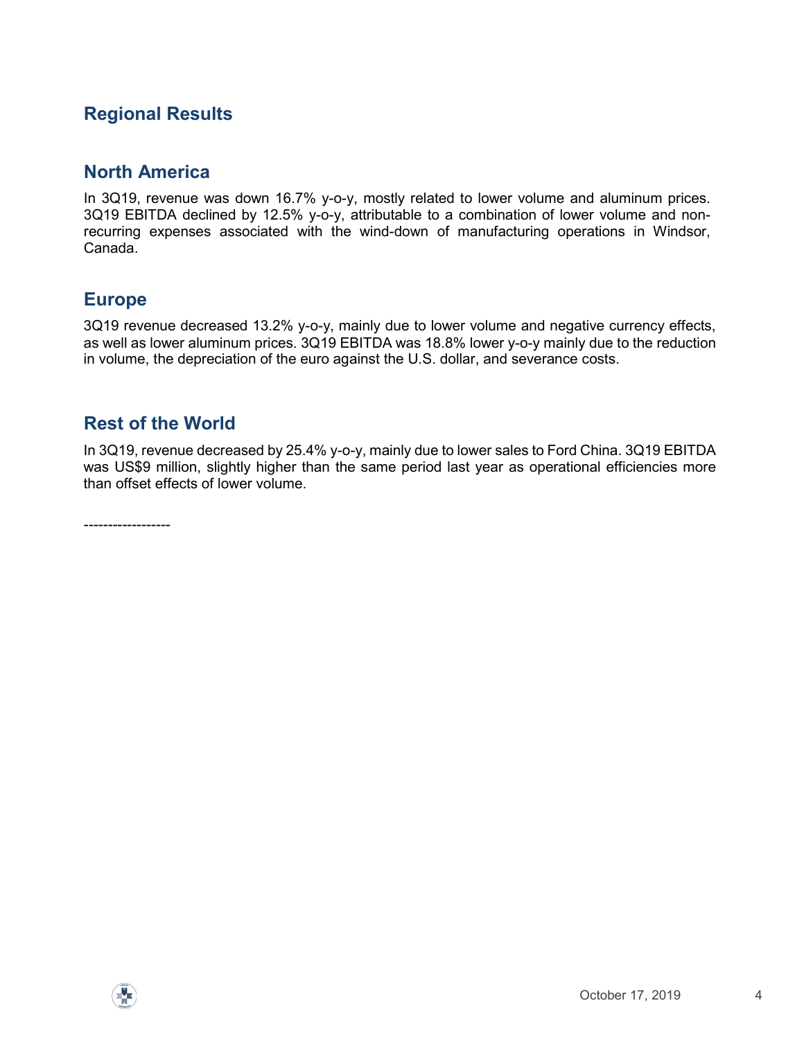# Regional Results

### North America

In 3Q19, revenue was down 16.7% y-o-y, mostly related to lower volume and aluminum prices. 3Q19 EBITDA declined by 12.5% y-o-y, attributable to a combination of lower volume and nonrecurring expenses associated with the wind-down of manufacturing operations in Windsor, Canada.

### Europe

3Q19 revenue decreased 13.2% y-o-y, mainly due to lower volume and negative currency effects, as well as lower aluminum prices. 3Q19 EBITDA was 18.8% lower y-o-y mainly due to the reduction in volume, the depreciation of the euro against the U.S. dollar, and severance costs.

### Rest of the World

In 3Q19, revenue decreased by 25.4% y-o-y, mainly due to lower sales to Ford China. 3Q19 EBITDA was US\$9 million, slightly higher than the same period last year as operational efficiencies more than offset effects of lower volume.

------------------

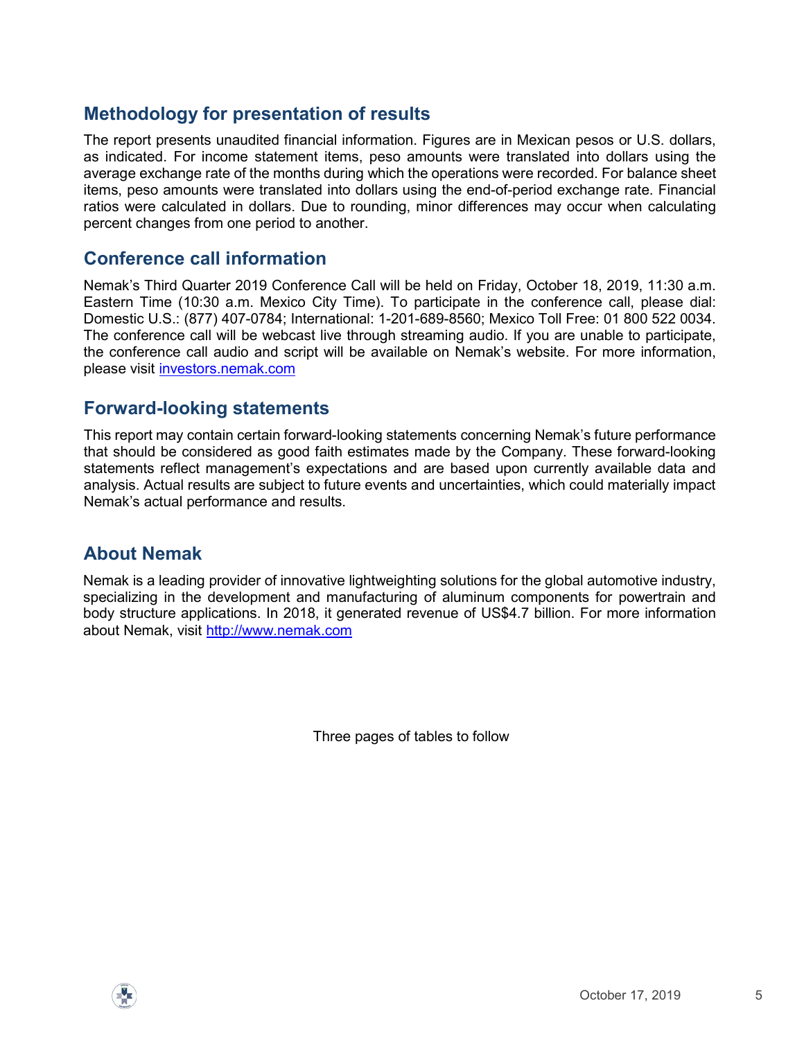# Methodology for presentation of results

The report presents unaudited financial information. Figures are in Mexican pesos or U.S. dollars, as indicated. For income statement items, peso amounts were translated into dollars using the average exchange rate of the months during which the operations were recorded. For balance sheet items, peso amounts were translated into dollars using the end-of-period exchange rate. Financial ratios were calculated in dollars. Due to rounding, minor differences may occur when calculating percent changes from one period to another.

### Conference call information

Nemak's Third Quarter 2019 Conference Call will be held on Friday, October 18, 2019, 11:30 a.m. Eastern Time (10:30 a.m. Mexico City Time). To participate in the conference call, please dial: Domestic U.S.: (877) 407-0784; International: 1-201-689-8560; Mexico Toll Free: 01 800 522 0034. The conference call will be webcast live through streaming audio. If you are unable to participate, the conference call audio and script will be available on Nemak's website. For more information, please visit investors.nemak.com

### Forward-looking statements

This report may contain certain forward-looking statements concerning Nemak's future performance that should be considered as good faith estimates made by the Company. These forward-looking statements reflect management's expectations and are based upon currently available data and analysis. Actual results are subject to future events and uncertainties, which could materially impact Nemak's actual performance and results.

# About Nemak

Nemak is a leading provider of innovative lightweighting solutions for the global automotive industry, specializing in the development and manufacturing of aluminum components for powertrain and body structure applications. In 2018, it generated revenue of US\$4.7 billion. For more information about Nemak, visit http://www.nemak.com

Three pages of tables to follow

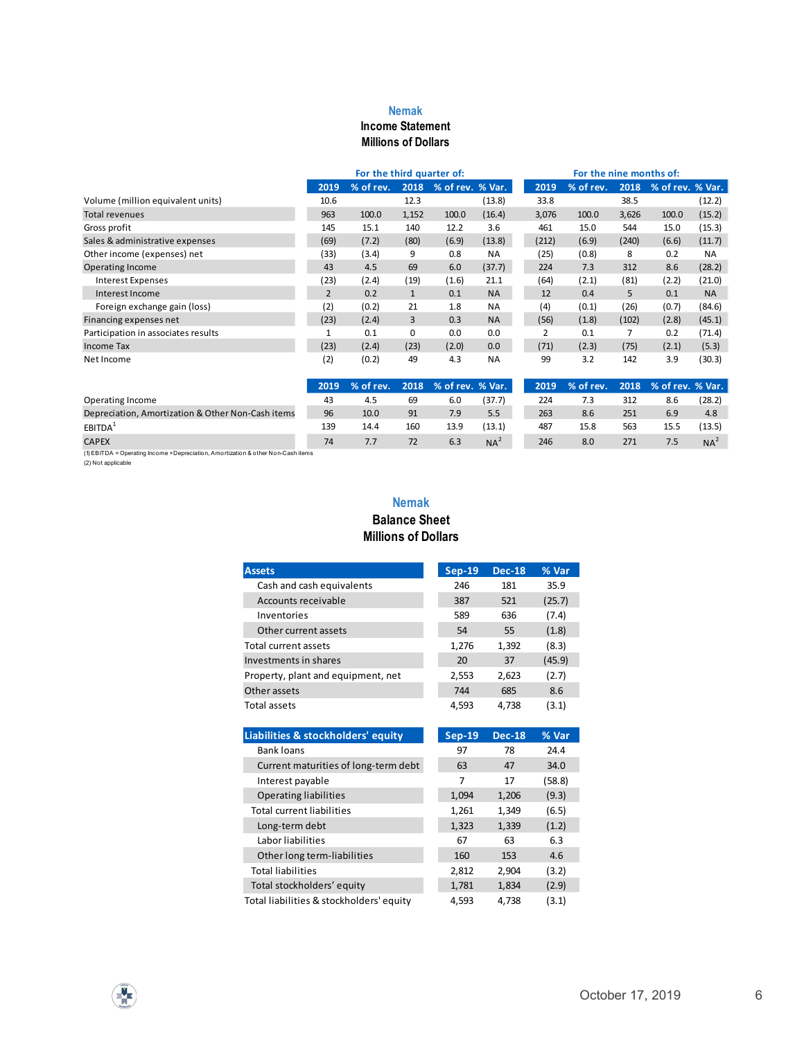#### Nemak

#### Income Statement Millions of Dollars

|                                                                                                   |                                    |                |                                 | <b>Nemak</b>                  |                  |                  |                        |                                 |                          |                       |                  |
|---------------------------------------------------------------------------------------------------|------------------------------------|----------------|---------------------------------|-------------------------------|------------------|------------------|------------------------|---------------------------------|--------------------------|-----------------------|------------------|
|                                                                                                   |                                    |                |                                 | <b>Income Statement</b>       |                  |                  |                        |                                 |                          |                       |                  |
|                                                                                                   |                                    |                |                                 | <b>Millions of Dollars</b>    |                  |                  |                        |                                 |                          |                       |                  |
|                                                                                                   |                                    |                |                                 |                               |                  |                  |                        |                                 |                          |                       |                  |
|                                                                                                   |                                    |                | For the third quarter of:       |                               |                  |                  |                        | For the nine months of:         |                          |                       |                  |
|                                                                                                   |                                    | 2019           | % of rev. 2018 % of rev. % Var. |                               |                  |                  | 2019                   | % of rev. 2018 % of rev. % Var. |                          |                       |                  |
| Volume (million equivalent units)<br><b>Total revenues</b>                                        |                                    | 10.6<br>963    | 100.0                           | 12.3<br>1,152                 | 100.0            | (13.8)<br>(16.4) | 33.8<br>3,076          | 100.0                           | 38.5<br>3,626            | 100.0                 | (12.2)<br>(15.2) |
| Gross profit                                                                                      |                                    | 145            | 15.1                            | 140                           | 12.2             | 3.6              | 461                    | 15.0                            | 544                      | 15.0                  | (15.3)           |
| Sales & administrative expenses                                                                   |                                    | (69)           | (7.2)                           | (80)                          | (6.9)            | (13.8)           | (212)                  | (6.9)                           | (240)                    | (6.6)                 | (11.7)           |
| Other income (expenses) net                                                                       |                                    | (33)           | (3.4)                           | 9                             | 0.8              | NA               | (25)                   | (0.8)                           | 8                        | 0.2                   | <b>NA</b>        |
| Operating Income                                                                                  |                                    | 43             | 4.5                             | 69                            | 6.0              | (37.7)           | 224                    | 7.3                             | 312                      | 8.6                   | (28.2)           |
| <b>Interest Expenses</b>                                                                          |                                    | (23)           | (2.4)                           | (19)                          | (1.6)            | 21.1             | (64)                   | (2.1)                           | (81)                     | (2.2)                 | (21.0)           |
| Interest Income                                                                                   |                                    | $\overline{2}$ | 0.2                             | $\mathbf{1}$                  | 0.1              | <b>NA</b>        | 12                     | 0.4                             | 5 <sup>5</sup>           | 0.1                   | <b>NA</b>        |
| Foreign exchange gain (loss)                                                                      |                                    | (2)            | (0.2)                           | 21                            | 1.8              | NA               | (4)                    | (0.1)                           | (26)                     | (0.7)                 | (84.6)           |
| Financing expenses net<br>Participation in associates results                                     |                                    | (23)<br>1      | (2.4)<br>0.1                    | $\overline{3}$<br>$\mathbf 0$ | 0.3<br>0.0       | <b>NA</b><br>0.0 | (56)<br>$\overline{2}$ | (1.8)<br>0.1                    | (102)<br>$7\overline{ }$ | (2.8)<br>0.2          | (45.1)<br>(71.4) |
| Income Tax                                                                                        |                                    | (23)           | (2.4)                           | (23)                          | (2.0)            | 0.0              | (71)                   | (2.3)                           | (75)                     | (2.1)                 | (5.3)            |
| Net Income                                                                                        |                                    | (2)            | (0.2)                           | 49                            | 4.3              | <b>NA</b>        | 99                     | 3.2                             | 142                      | 3.9                   | (30.3)           |
|                                                                                                   |                                    |                |                                 |                               |                  |                  |                        |                                 |                          |                       |                  |
|                                                                                                   |                                    | 2019           | % of rev.                       | 2018                          | % of rev. % Var. |                  | 2019                   | % of rev.                       |                          | 2018 % of rev. % Var. |                  |
| Operating Income                                                                                  |                                    | 43             | 4.5                             | 69                            | 6.0              | (37.7)           | 224                    | 7.3                             | 312                      | 8.6                   | (28.2)           |
| Depreciation, Amortization & Other Non-Cash items                                                 |                                    | 96             | 10.0                            | 91                            | 7.9              | 5.5              | 263                    | 8.6                             | 251                      | 6.9                   | 4.8              |
| EBITDA <sup>1</sup>                                                                               |                                    | 139<br>74      | 14.4                            | 160                           | 13.9<br>6.3      | (13.1)           | 487<br>246             | 15.8<br>8.0                     | 563                      | 15.5<br>7.5           | (13.5)           |
| <b>CAPEX</b><br>(1) EBITDA = Operating Income + Depreciation, Amortization & other Non-Cash items |                                    |                | 7.7                             | 72                            |                  | $NA^2$           |                        |                                 | 271                      |                       | $NA^2$           |
| (2) Not applicable                                                                                |                                    |                |                                 |                               |                  |                  |                        |                                 |                          |                       |                  |
|                                                                                                   |                                    |                |                                 |                               |                  |                  |                        |                                 |                          |                       |                  |
|                                                                                                   |                                    |                |                                 | <b>Nemak</b>                  |                  |                  |                        |                                 |                          |                       |                  |
|                                                                                                   |                                    |                |                                 | <b>Balance Sheet</b>          |                  |                  |                        |                                 |                          |                       |                  |
|                                                                                                   |                                    |                |                                 | <b>Millions of Dollars</b>    |                  |                  |                        |                                 |                          |                       |                  |
|                                                                                                   |                                    |                |                                 |                               |                  |                  |                        |                                 |                          |                       |                  |
|                                                                                                   | <b>Assets</b>                      |                |                                 |                               | <b>Sep-19</b>    | <b>Dec-18</b>    | % Var                  |                                 |                          |                       |                  |
|                                                                                                   | Cash and cash equivalents          |                |                                 |                               | 246              | 181              | 35.9                   |                                 |                          |                       |                  |
|                                                                                                   | Accounts receivable                |                |                                 |                               | 387              | 521              | (25.7)                 |                                 |                          |                       |                  |
|                                                                                                   | Inventories                        |                |                                 |                               | 589              | 636              |                        |                                 |                          |                       |                  |
|                                                                                                   | Other current assets               |                |                                 |                               | 54               | 55               | (7.4)<br>(1.8)         |                                 |                          |                       |                  |
|                                                                                                   | Total current assets               |                |                                 |                               | 1,276            |                  | (8.3)                  |                                 |                          |                       |                  |
|                                                                                                   | Investments in shares              |                |                                 |                               | 20               | 1,392<br>37      | (45.9)                 |                                 |                          |                       |                  |
|                                                                                                   | Property, plant and equipment, net |                |                                 |                               | 2,553            | 2,623            | (2.7)                  |                                 |                          |                       |                  |
|                                                                                                   | Other assets                       |                |                                 |                               | 744              | 685              | 8.6                    |                                 |                          |                       |                  |
|                                                                                                   | Total assets                       |                |                                 |                               | 4,593            | 4,738            | (3.1)                  |                                 |                          |                       |                  |
|                                                                                                   |                                    |                |                                 |                               |                  |                  |                        |                                 |                          |                       |                  |
|                                                                                                   |                                    |                |                                 |                               |                  |                  |                        |                                 |                          |                       |                  |

#### Nemak Balance Sheet Millions of Dollars

|                                    | (23)         | (2.4)                                | 3                                    | 0.3              | <b>NA</b>       | (56)           | (1.8)     | (102)          | (2.8)            | (45.1)          |
|------------------------------------|--------------|--------------------------------------|--------------------------------------|------------------|-----------------|----------------|-----------|----------------|------------------|-----------------|
|                                    | $\mathbf{1}$ | 0.1                                  | 0                                    | 0.0              | 0.0             | $\overline{2}$ | 0.1       | $\overline{7}$ | 0.2              | (71.4)          |
|                                    | (23)         | (2.4)                                | (23)                                 | (2.0)            | 0.0             | (71)           | (2.3)     | (75)           | (2.1)            | (5.3)           |
|                                    | (2)          | (0.2)                                | 49                                   | 4.3              | <b>NA</b>       | 99             | 3.2       | 142            | 3.9              | (30.3)          |
|                                    | 2019         | % of rev.                            | 2018                                 | % of rev. % Var. |                 | 2019           | % of rev. | 2018           | % of rev. % Var. |                 |
|                                    | 43           | 4.5                                  | 69                                   | 6.0              | (37.7)          | 224            | 7.3       | 312            | 8.6              | (28.2)          |
| on-Cash items                      | 96           | 10.0                                 | 91                                   | 7.9              | 5.5             | 263            | 8.6       | 251            | 6.9              | 4.8             |
|                                    | 139          | 14.4                                 | 160                                  | 13.9             | (13.1)          | 487            | 15.8      | 563            | 15.5             | (13.5)          |
| ion & other Non-Cash items         | 74           | 7.7                                  | 72                                   | 6.3              | NA <sup>2</sup> | 246            | 8.0       | 271            | 7.5              | NA <sup>2</sup> |
|                                    |              | <b>Millions of Dollars</b>           | <b>Nemak</b><br><b>Balance Sheet</b> |                  |                 |                |           |                |                  |                 |
| <b>Assets</b>                      |              |                                      |                                      | <b>Sep-19</b>    | <b>Dec-18</b>   | % Var          |           |                |                  |                 |
| Cash and cash equivalents          |              |                                      |                                      | 246              | 181             | 35.9           |           |                |                  |                 |
| Accounts receivable                |              |                                      |                                      | 387              | 521             | (25.7)         |           |                |                  |                 |
| Inventories                        |              |                                      |                                      | 589              | 636             | (7.4)          |           |                |                  |                 |
| Other current assets               |              |                                      |                                      | 54               | 55              | (1.8)          |           |                |                  |                 |
| Total current assets               |              |                                      |                                      | 1,276            | 1,392           | (8.3)          |           |                |                  |                 |
| Investments in shares              |              |                                      |                                      | 20               | 37              | (45.9)         |           |                |                  |                 |
| Property, plant and equipment, net |              |                                      |                                      | 2,553            | 2,623           | (2.7)          |           |                |                  |                 |
| Other assets                       |              |                                      |                                      | 744              | 685             | 8.6            |           |                |                  |                 |
| Total assets                       |              |                                      |                                      | 4,593            | 4,738           | (3.1)          |           |                |                  |                 |
| Liabilities & stockholders' equity |              |                                      |                                      | <b>Sep-19</b>    | <b>Dec-18</b>   | % Var          |           |                |                  |                 |
| <b>Bank loans</b>                  |              |                                      |                                      | 97               | 78              | 24.4           |           |                |                  |                 |
|                                    |              | Current maturities of long-term debt |                                      | 63               | 47              | 34.0           |           |                |                  |                 |
| Interest payable                   |              |                                      |                                      | $\overline{7}$   | 17              | (58.8)         |           |                |                  |                 |
| <b>Operating liabilities</b>       |              |                                      |                                      | 1,094            | 1,206           | (9.3)          |           |                |                  |                 |
| <b>Total current liabilities</b>   |              |                                      |                                      | 1,261            | 1,349           | (6.5)          |           |                |                  |                 |
| Long-term debt                     |              |                                      |                                      | 1,323            | 1,339           | (1.2)          |           |                |                  |                 |
| Labor liabilities                  |              |                                      |                                      | 67               | 63              | 6.3            |           |                |                  |                 |
| Other long term-liabilities        |              |                                      |                                      | 160              | 153             | 4.6            |           |                |                  |                 |
|                                    |              |                                      |                                      | 2,812            | 2,904           | (3.2)          |           |                |                  |                 |
| <b>Total liabilities</b>           |              |                                      |                                      | 1,781            | 1,834           | (2.9)          |           |                |                  |                 |
| Total stockholders' equity         |              |                                      |                                      | 4,593            | 4,738           | (3.1)          |           |                |                  |                 |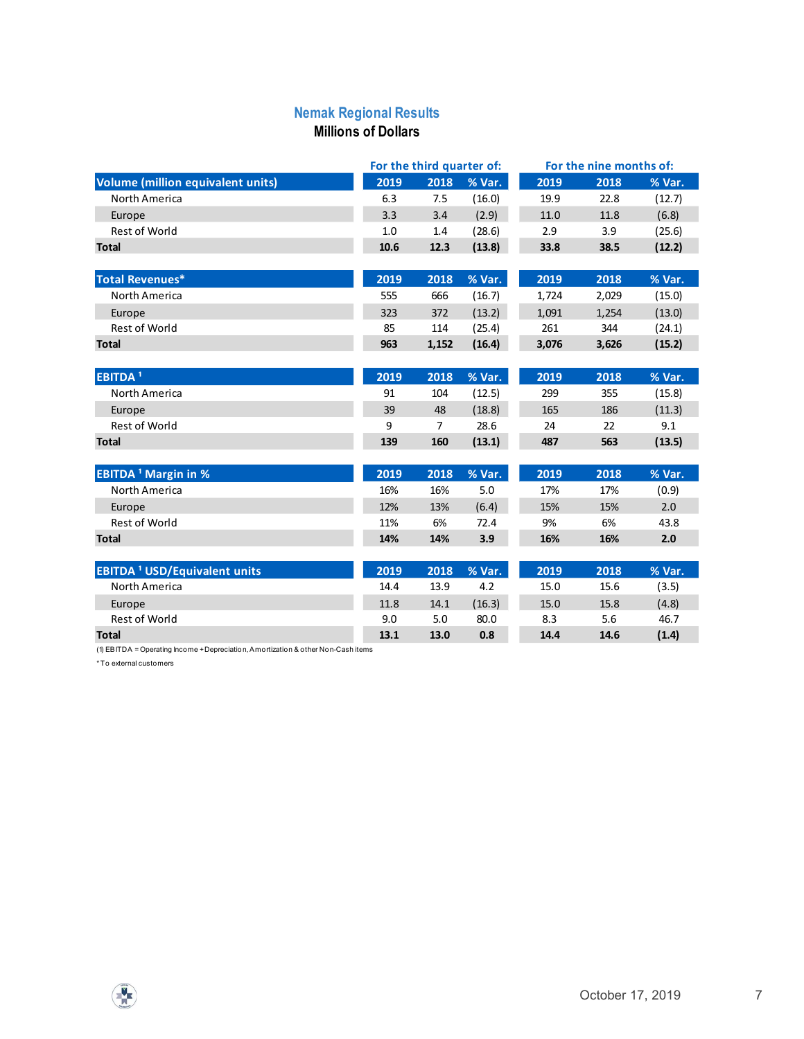#### Nemak Regional Results Millions of Dollars

| <b>Nemak Regional Results</b>                                                                                |                            |                |                                     |          |                                 |         |
|--------------------------------------------------------------------------------------------------------------|----------------------------|----------------|-------------------------------------|----------|---------------------------------|---------|
|                                                                                                              | <b>Millions of Dollars</b> |                |                                     |          |                                 |         |
|                                                                                                              |                            |                |                                     |          |                                 |         |
| Volume (million equivalent units)                                                                            | 2019                       | 2018           | For the third quarter of:<br>% Var. | 2019     | For the nine months of:<br>2018 | % Var.  |
| North America                                                                                                | 6.3                        | 7.5            | (16.0)                              | 19.9     | 22.8                            | (12.7)  |
| Europe                                                                                                       | 3.3                        | 3.4            | (2.9)                               | $11.0\,$ | 11.8                            | (6.8)   |
| Rest of World                                                                                                | $1.0\,$                    | 1.4            | (28.6)                              | 2.9      | 3.9                             | (25.6)  |
| <b>Total</b>                                                                                                 | $10.6\,$                   | 12.3           | (13.8)                              | 33.8     | 38.5                            | (12.2)  |
| <b>Total Revenues*</b>                                                                                       | 2019                       | 2018           | % Var.                              | 2019     | 2018                            | % Var.  |
| North America                                                                                                | 555                        | 666            | (16.7)                              | 1,724    | 2,029                           | (15.0)  |
| Europe                                                                                                       | 323                        | 372            | (13.2)                              | 1,091    | 1,254                           | (13.0)  |
| Rest of World                                                                                                | 85                         | 114            | (25.4)                              | 261      | 344                             | (24.1)  |
| <b>Total</b>                                                                                                 | 963                        | 1,152          | (16.4)                              | 3,076    | 3,626                           | (15.2)  |
| <b>EBITDA<sup>1</sup></b>                                                                                    | 2019                       | 2018           | % Var.                              | 2019     | 2018                            | % Var.  |
| North America                                                                                                | 91                         | 104            | (12.5)                              | 299      | 355                             | (15.8)  |
| Europe                                                                                                       | 39                         | 48             | (18.8)                              | 165      | 186                             | (11.3)  |
| Rest of World                                                                                                | 9                          | $\overline{7}$ | 28.6                                | $24\,$   | 22                              | 9.1     |
| <b>Total</b>                                                                                                 | 139                        | 160            | (13.1)                              | 487      | 563                             | (13.5)  |
| <b>EBITDA<sup>1</sup> Margin in %</b>                                                                        | 2019                       | 2018           | % Var.                              | 2019     | 2018                            | % Var.  |
| North America                                                                                                | 16%                        | 16%            | $5.0\,$                             | 17%      | 17%                             | (0.9)   |
| Europe                                                                                                       | 12%                        | 13%            | (6.4)                               | 15%      | 15%                             | $2.0\,$ |
| Rest of World                                                                                                | 11%                        | 6%             | 72.4                                | 9%       | 6%                              | 43.8    |
| <b>Total</b>                                                                                                 | 14%                        | 14%            | 3.9                                 | 16%      | 16%                             | $2.0$   |
| <b>EBITDA<sup>1</sup> USD/Equivalent units</b>                                                               | 2019                       | 2018           | % Var.                              | 2019     | 2018                            | % Var.  |
| North America                                                                                                | 14.4                       | 13.9           | 4.2                                 | 15.0     | 15.6                            | (3.5)   |
| Europe                                                                                                       | 11.8                       | 14.1           | (16.3)                              | 15.0     | 15.8                            | (4.8)   |
| Rest of World                                                                                                | 9.0                        | 5.0            | 80.0                                | 8.3      | $5.6\,$                         | 46.7    |
| <b>Total</b>                                                                                                 | 13.1                       | 13.0           | 0.8                                 | 14.4     | 14.6                            | (1.4)   |
| (1) EBITDA = Operating Income + Depreciation, Amortization & other Non-Cash items<br>* To external customers |                            |                |                                     |          |                                 |         |
|                                                                                                              |                            |                |                                     |          |                                 |         |
|                                                                                                              |                            |                |                                     |          |                                 |         |